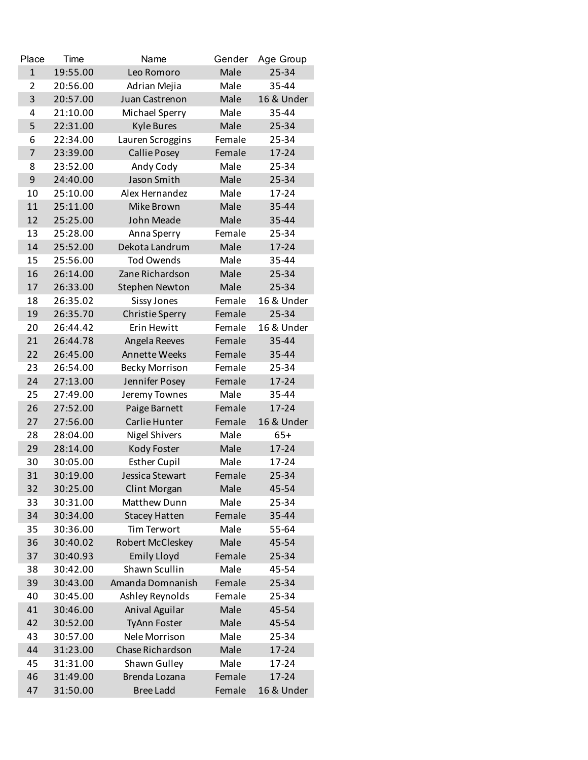| Place          | Time     | Name                          | Gender | Age Group  |
|----------------|----------|-------------------------------|--------|------------|
| $\mathbf{1}$   | 19:55.00 | Leo Romoro                    | Male   | 25-34      |
| $\overline{2}$ | 20:56.00 | Adrian Mejia                  | Male   | 35-44      |
| 3              | 20:57.00 | Juan Castrenon                | Male   | 16 & Under |
| 4              | 21:10.00 | Michael Sperry                | Male   | 35-44      |
| 5              | 22:31.00 | <b>Kyle Bures</b>             | Male   | 25-34      |
| 6              | 22:34.00 | Lauren Scroggins              | Female | 25-34      |
| $\overline{7}$ | 23:39.00 | <b>Callie Posey</b>           | Female | 17-24      |
| 8              | 23:52.00 | Andy Cody                     | Male   | 25-34      |
| 9              | 24:40.00 | Jason Smith                   | Male   | $25 - 34$  |
| 10             | 25:10.00 | Alex Hernandez                | Male   | 17-24      |
| 11             | 25:11.00 | Mike Brown                    | Male   | 35-44      |
| 12             | 25:25.00 | John Meade                    | Male   | 35-44      |
| 13             | 25:28.00 | Anna Sperry                   | Female | 25-34      |
| 14             | 25:52.00 | Dekota Landrum                | Male   | 17-24      |
| 15             | 25:56.00 | <b>Tod Owends</b>             | Male   | 35-44      |
| 16             | 26:14.00 | Zane Richardson               | Male   | 25-34      |
| 17             | 26:33.00 | <b>Stephen Newton</b>         | Male   | 25-34      |
| 18             | 26:35.02 | <b>Sissy Jones</b>            | Female | 16 & Under |
| 19             | 26:35.70 | <b>Christie Sperry</b>        | Female | 25-34      |
| 20             | 26:44.42 | Erin Hewitt                   | Female | 16 & Under |
| 21             | 26:44.78 | Angela Reeves                 | Female | 35-44      |
| 22             | 26:45.00 | Annette Weeks                 | Female | 35-44      |
| 23             | 26:54.00 | <b>Becky Morrison</b>         | Female | 25-34      |
| 24             | 27:13.00 | Jennifer Posey                | Female | 17-24      |
| 25             | 27:49.00 | Jeremy Townes                 | Male   | 35-44      |
| 26             | 27:52.00 | Paige Barnett                 | Female | $17 - 24$  |
| 27             | 27:56.00 | Carlie Hunter                 | Female | 16 & Under |
| 28             | 28:04.00 | <b>Nigel Shivers</b>          | Male   | $65+$      |
| 29             | 28:14.00 | Kody Foster                   | Male   | $17 - 24$  |
| 30             | 30:05.00 | <b>Esther Cupil</b>           | Male   | $17 - 24$  |
| 31             | 30:19.00 | Jessica Stewart               | Female | 25-34      |
| 32             | 30:25.00 | <b>Clint Morgan</b>           | Male   | 45-54      |
| 33             | 30:31.00 | Matthew Dunn                  | Male   | 25-34      |
| 34             | 30:34.00 | <b>Stacey Hatten</b>          | Female | 35-44      |
| 35             | 30:36.00 | <b>Tim Terwort</b>            | Male   | 55-64      |
| 36             | 30:40.02 | Robert McCleskey              | Male   | 45-54      |
| 37             | 30:40.93 | <b>Emily Lloyd</b>            | Female | 25-34      |
| 38             | 30:42.00 | Shawn Scullin                 | Male   | 45-54      |
| 39             | 30:43.00 | Amanda Domnanish              | Female | 25-34      |
| 40             | 30:45.00 | Ashley Reynolds               | Female | 25-34      |
| 41             | 30:46.00 | Anival Aguilar                | Male   | 45-54      |
| 42             | 30:52.00 | <b>TyAnn Foster</b>           | Male   | 45-54      |
| 43             | 30:57.00 | Nele Morrison                 | Male   | 25-34      |
| 44             | 31:23.00 | Chase Richardson              | Male   | $17 - 24$  |
| 45             | 31:31.00 |                               | Male   | 17-24      |
|                |          | Shawn Gulley<br>Brenda Lozana |        |            |
| 46             | 31:49.00 |                               | Female | 17-24      |
| 47             | 31:50.00 | <b>Bree Ladd</b>              | Female | 16 & Under |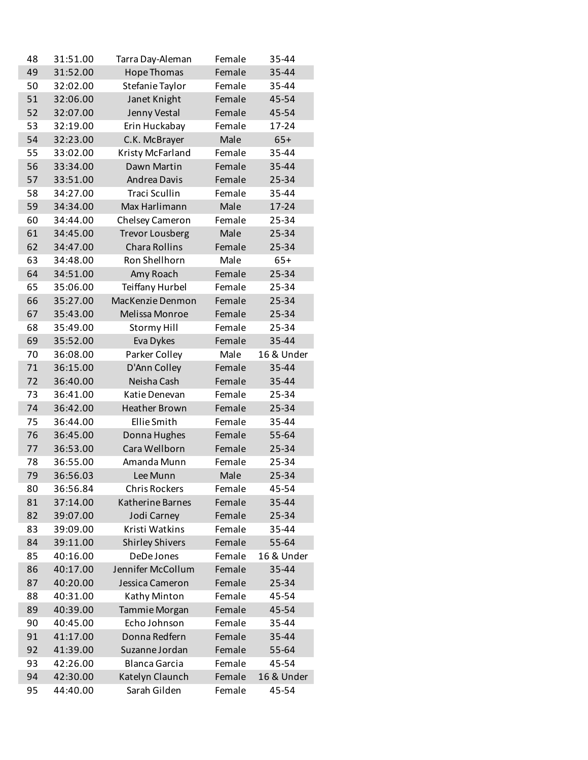| 48 | 31:51.00 | Tarra Day-Aleman        | Female | 35-44      |
|----|----------|-------------------------|--------|------------|
| 49 | 31:52.00 | <b>Hope Thomas</b>      | Female | 35-44      |
| 50 | 32:02.00 | Stefanie Taylor         | Female | 35-44      |
| 51 | 32:06.00 | Janet Knight            | Female | 45-54      |
| 52 | 32:07.00 | Jenny Vestal            | Female | 45-54      |
| 53 | 32:19.00 | Erin Huckabay           | Female | 17-24      |
| 54 | 32:23.00 | C.K. McBrayer           | Male   | $65+$      |
| 55 | 33:02.00 | Kristy McFarland        | Female | 35-44      |
| 56 | 33:34.00 | Dawn Martin             | Female | 35-44      |
| 57 | 33:51.00 | Andrea Davis            | Female | 25-34      |
| 58 | 34:27.00 | <b>Traci Scullin</b>    | Female | 35-44      |
| 59 | 34:34.00 | Max Harlimann           | Male   | $17 - 24$  |
| 60 | 34:44.00 | Chelsey Cameron         | Female | 25-34      |
| 61 | 34:45.00 | <b>Trevor Lousberg</b>  | Male   | 25-34      |
| 62 | 34:47.00 | <b>Chara Rollins</b>    | Female | 25-34      |
| 63 | 34:48.00 | Ron Shellhorn           | Male   | $65+$      |
| 64 | 34:51.00 | Amy Roach               | Female | 25-34      |
| 65 | 35:06.00 | Teiffany Hurbel         | Female | 25-34      |
|    |          | MacKenzie Denmon        | Female | 25-34      |
| 66 | 35:27.00 |                         |        |            |
| 67 | 35:43.00 | Melissa Monroe          | Female | 25-34      |
| 68 | 35:49.00 | <b>Stormy Hill</b>      | Female | 25-34      |
| 69 | 35:52.00 | Eva Dykes               | Female | 35-44      |
| 70 | 36:08.00 | Parker Colley           | Male   | 16 & Under |
| 71 | 36:15.00 | D'Ann Colley            | Female | 35-44      |
| 72 | 36:40.00 | Neisha Cash             | Female | 35-44      |
| 73 | 36:41.00 | Katie Denevan           | Female | 25-34      |
| 74 | 36:42.00 | <b>Heather Brown</b>    | Female | 25-34      |
| 75 | 36:44.00 | Ellie Smith             | Female | 35-44      |
| 76 | 36:45.00 | Donna Hughes            | Female | 55-64      |
| 77 | 36:53.00 | Cara Wellborn           | Female | 25-34      |
| 78 | 36:55.00 | Amanda Munn             | Female | 25-34      |
| 79 | 36:56.03 | Lee Munn                | Male   | 25-34      |
| 80 | 36:56.84 | <b>Chris Rockers</b>    | Female | 45-54      |
| 81 | 37:14.00 | <b>Katherine Barnes</b> | Female | 35-44      |
| 82 | 39:07.00 | Jodi Carney             | Female | 25-34      |
| 83 | 39:09.00 | Kristi Watkins          | Female | 35-44      |
| 84 | 39:11.00 | <b>Shirley Shivers</b>  | Female | 55-64      |
| 85 | 40:16.00 | DeDe Jones              | Female | 16 & Under |
| 86 | 40:17.00 | Jennifer McCollum       | Female | 35-44      |
| 87 | 40:20.00 | Jessica Cameron         | Female | 25-34      |
| 88 | 40:31.00 | Kathy Minton            | Female | 45-54      |
| 89 | 40:39.00 | Tammie Morgan           | Female | 45-54      |
| 90 | 40:45.00 | Echo Johnson            | Female | 35-44      |
| 91 | 41:17.00 | Donna Redfern           | Female | 35-44      |
| 92 | 41:39.00 | Suzanne Jordan          | Female | 55-64      |
| 93 | 42:26.00 | <b>Blanca Garcia</b>    | Female | 45-54      |
| 94 | 42:30.00 | Katelyn Claunch         | Female | 16 & Under |
| 95 | 44:40.00 | Sarah Gilden            | Female | 45-54      |
|    |          |                         |        |            |